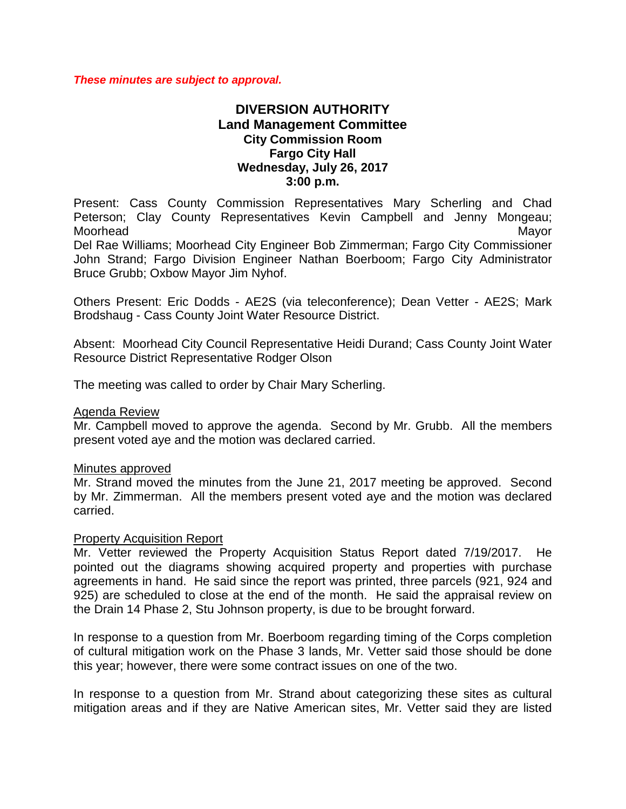*These minutes are subject to approval.*

# **DIVERSION AUTHORITY Land Management Committee City Commission Room Fargo City Hall Wednesday, July 26, 2017 3:00 p.m.**

Present: Cass County Commission Representatives Mary Scherling and Chad Peterson; Clay County Representatives Kevin Campbell and Jenny Mongeau; Moorhead Mayor

Del Rae Williams; Moorhead City Engineer Bob Zimmerman; Fargo City Commissioner John Strand; Fargo Division Engineer Nathan Boerboom; Fargo City Administrator Bruce Grubb; Oxbow Mayor Jim Nyhof.

Others Present: Eric Dodds - AE2S (via teleconference); Dean Vetter - AE2S; Mark Brodshaug - Cass County Joint Water Resource District.

Absent: Moorhead City Council Representative Heidi Durand; Cass County Joint Water Resource District Representative Rodger Olson

The meeting was called to order by Chair Mary Scherling.

### Agenda Review

Mr. Campbell moved to approve the agenda. Second by Mr. Grubb. All the members present voted aye and the motion was declared carried.

### Minutes approved

Mr. Strand moved the minutes from the June 21, 2017 meeting be approved. Second by Mr. Zimmerman. All the members present voted aye and the motion was declared carried.

### Property Acquisition Report

Mr. Vetter reviewed the Property Acquisition Status Report dated 7/19/2017. He pointed out the diagrams showing acquired property and properties with purchase agreements in hand. He said since the report was printed, three parcels (921, 924 and 925) are scheduled to close at the end of the month. He said the appraisal review on the Drain 14 Phase 2, Stu Johnson property, is due to be brought forward.

In response to a question from Mr. Boerboom regarding timing of the Corps completion of cultural mitigation work on the Phase 3 lands, Mr. Vetter said those should be done this year; however, there were some contract issues on one of the two.

In response to a question from Mr. Strand about categorizing these sites as cultural mitigation areas and if they are Native American sites, Mr. Vetter said they are listed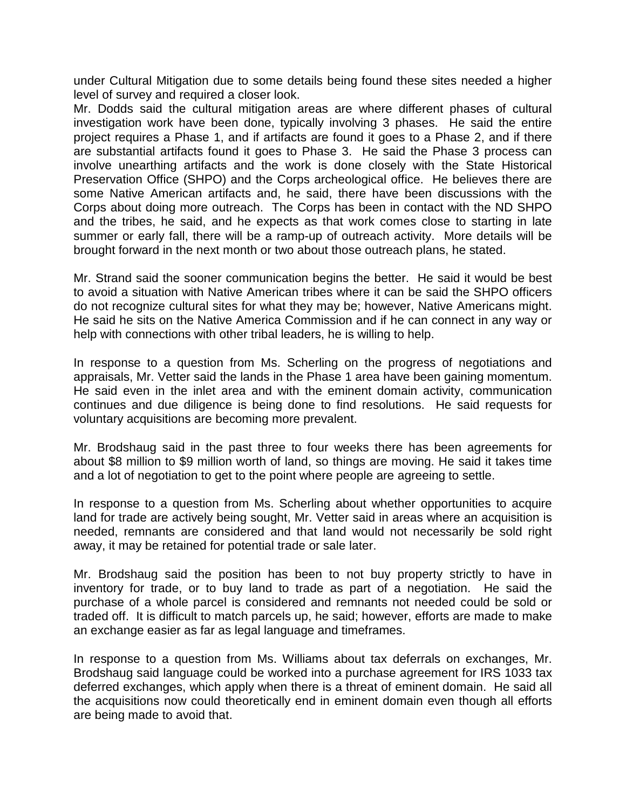under Cultural Mitigation due to some details being found these sites needed a higher level of survey and required a closer look.

Mr. Dodds said the cultural mitigation areas are where different phases of cultural investigation work have been done, typically involving 3 phases. He said the entire project requires a Phase 1, and if artifacts are found it goes to a Phase 2, and if there are substantial artifacts found it goes to Phase 3. He said the Phase 3 process can involve unearthing artifacts and the work is done closely with the State Historical Preservation Office (SHPO) and the Corps archeological office. He believes there are some Native American artifacts and, he said, there have been discussions with the Corps about doing more outreach. The Corps has been in contact with the ND SHPO and the tribes, he said, and he expects as that work comes close to starting in late summer or early fall, there will be a ramp-up of outreach activity. More details will be brought forward in the next month or two about those outreach plans, he stated.

Mr. Strand said the sooner communication begins the better. He said it would be best to avoid a situation with Native American tribes where it can be said the SHPO officers do not recognize cultural sites for what they may be; however, Native Americans might. He said he sits on the Native America Commission and if he can connect in any way or help with connections with other tribal leaders, he is willing to help.

In response to a question from Ms. Scherling on the progress of negotiations and appraisals, Mr. Vetter said the lands in the Phase 1 area have been gaining momentum. He said even in the inlet area and with the eminent domain activity, communication continues and due diligence is being done to find resolutions. He said requests for voluntary acquisitions are becoming more prevalent.

Mr. Brodshaug said in the past three to four weeks there has been agreements for about \$8 million to \$9 million worth of land, so things are moving. He said it takes time and a lot of negotiation to get to the point where people are agreeing to settle.

In response to a question from Ms. Scherling about whether opportunities to acquire land for trade are actively being sought, Mr. Vetter said in areas where an acquisition is needed, remnants are considered and that land would not necessarily be sold right away, it may be retained for potential trade or sale later.

Mr. Brodshaug said the position has been to not buy property strictly to have in inventory for trade, or to buy land to trade as part of a negotiation. He said the purchase of a whole parcel is considered and remnants not needed could be sold or traded off. It is difficult to match parcels up, he said; however, efforts are made to make an exchange easier as far as legal language and timeframes.

In response to a question from Ms. Williams about tax deferrals on exchanges, Mr. Brodshaug said language could be worked into a purchase agreement for IRS 1033 tax deferred exchanges, which apply when there is a threat of eminent domain. He said all the acquisitions now could theoretically end in eminent domain even though all efforts are being made to avoid that.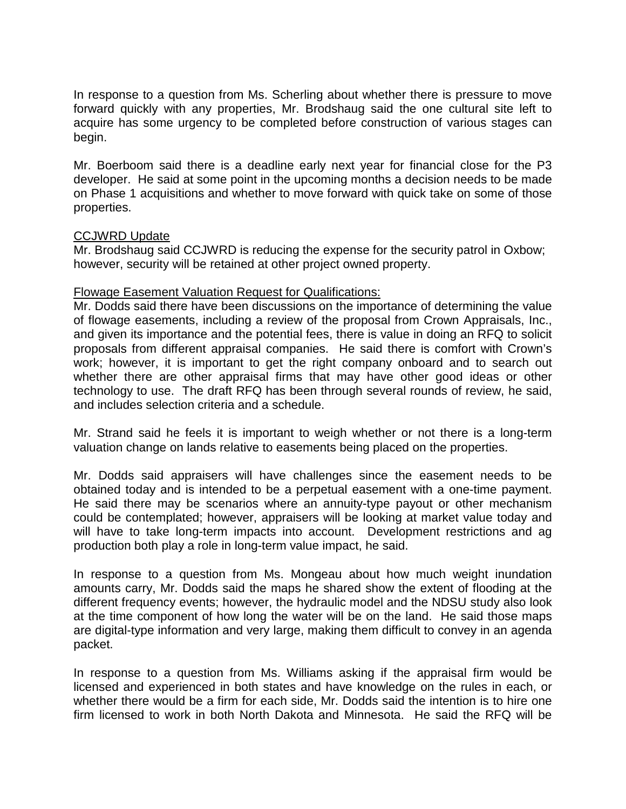In response to a question from Ms. Scherling about whether there is pressure to move forward quickly with any properties, Mr. Brodshaug said the one cultural site left to acquire has some urgency to be completed before construction of various stages can begin.

Mr. Boerboom said there is a deadline early next year for financial close for the P3 developer. He said at some point in the upcoming months a decision needs to be made on Phase 1 acquisitions and whether to move forward with quick take on some of those properties.

## CCJWRD Update

Mr. Brodshaug said CCJWRD is reducing the expense for the security patrol in Oxbow; however, security will be retained at other project owned property.

### Flowage Easement Valuation Request for Qualifications:

Mr. Dodds said there have been discussions on the importance of determining the value of flowage easements, including a review of the proposal from Crown Appraisals, Inc., and given its importance and the potential fees, there is value in doing an RFQ to solicit proposals from different appraisal companies. He said there is comfort with Crown's work; however, it is important to get the right company onboard and to search out whether there are other appraisal firms that may have other good ideas or other technology to use. The draft RFQ has been through several rounds of review, he said, and includes selection criteria and a schedule.

Mr. Strand said he feels it is important to weigh whether or not there is a long-term valuation change on lands relative to easements being placed on the properties.

Mr. Dodds said appraisers will have challenges since the easement needs to be obtained today and is intended to be a perpetual easement with a one-time payment. He said there may be scenarios where an annuity-type payout or other mechanism could be contemplated; however, appraisers will be looking at market value today and will have to take long-term impacts into account. Development restrictions and ag production both play a role in long-term value impact, he said.

In response to a question from Ms. Mongeau about how much weight inundation amounts carry, Mr. Dodds said the maps he shared show the extent of flooding at the different frequency events; however, the hydraulic model and the NDSU study also look at the time component of how long the water will be on the land. He said those maps are digital-type information and very large, making them difficult to convey in an agenda packet.

In response to a question from Ms. Williams asking if the appraisal firm would be licensed and experienced in both states and have knowledge on the rules in each, or whether there would be a firm for each side, Mr. Dodds said the intention is to hire one firm licensed to work in both North Dakota and Minnesota. He said the RFQ will be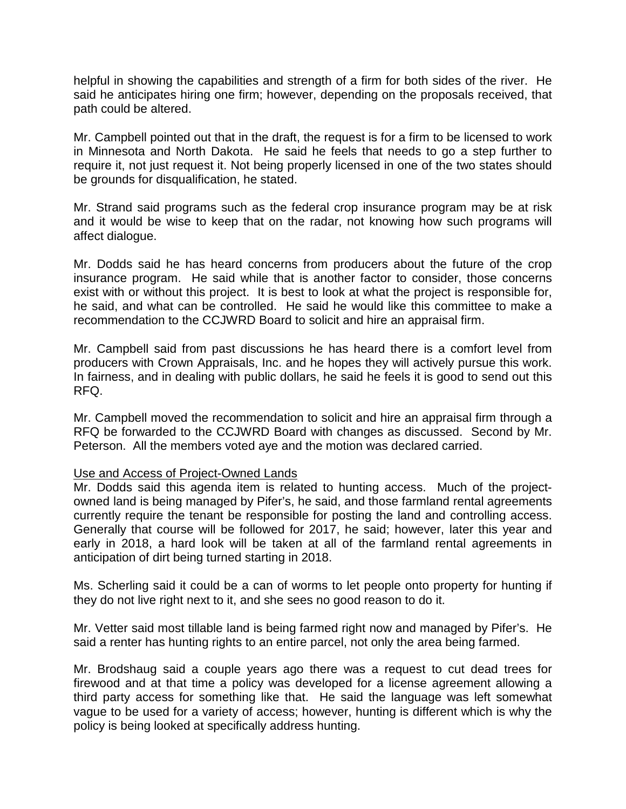helpful in showing the capabilities and strength of a firm for both sides of the river. He said he anticipates hiring one firm; however, depending on the proposals received, that path could be altered.

Mr. Campbell pointed out that in the draft, the request is for a firm to be licensed to work in Minnesota and North Dakota. He said he feels that needs to go a step further to require it, not just request it. Not being properly licensed in one of the two states should be grounds for disqualification, he stated.

Mr. Strand said programs such as the federal crop insurance program may be at risk and it would be wise to keep that on the radar, not knowing how such programs will affect dialogue.

Mr. Dodds said he has heard concerns from producers about the future of the crop insurance program. He said while that is another factor to consider, those concerns exist with or without this project. It is best to look at what the project is responsible for, he said, and what can be controlled. He said he would like this committee to make a recommendation to the CCJWRD Board to solicit and hire an appraisal firm.

Mr. Campbell said from past discussions he has heard there is a comfort level from producers with Crown Appraisals, Inc. and he hopes they will actively pursue this work. In fairness, and in dealing with public dollars, he said he feels it is good to send out this RFQ.

Mr. Campbell moved the recommendation to solicit and hire an appraisal firm through a RFQ be forwarded to the CCJWRD Board with changes as discussed. Second by Mr. Peterson. All the members voted aye and the motion was declared carried.

### Use and Access of Project-Owned Lands

Mr. Dodds said this agenda item is related to hunting access. Much of the projectowned land is being managed by Pifer's, he said, and those farmland rental agreements currently require the tenant be responsible for posting the land and controlling access. Generally that course will be followed for 2017, he said; however, later this year and early in 2018, a hard look will be taken at all of the farmland rental agreements in anticipation of dirt being turned starting in 2018.

Ms. Scherling said it could be a can of worms to let people onto property for hunting if they do not live right next to it, and she sees no good reason to do it.

Mr. Vetter said most tillable land is being farmed right now and managed by Pifer's. He said a renter has hunting rights to an entire parcel, not only the area being farmed.

Mr. Brodshaug said a couple years ago there was a request to cut dead trees for firewood and at that time a policy was developed for a license agreement allowing a third party access for something like that. He said the language was left somewhat vague to be used for a variety of access; however, hunting is different which is why the policy is being looked at specifically address hunting.